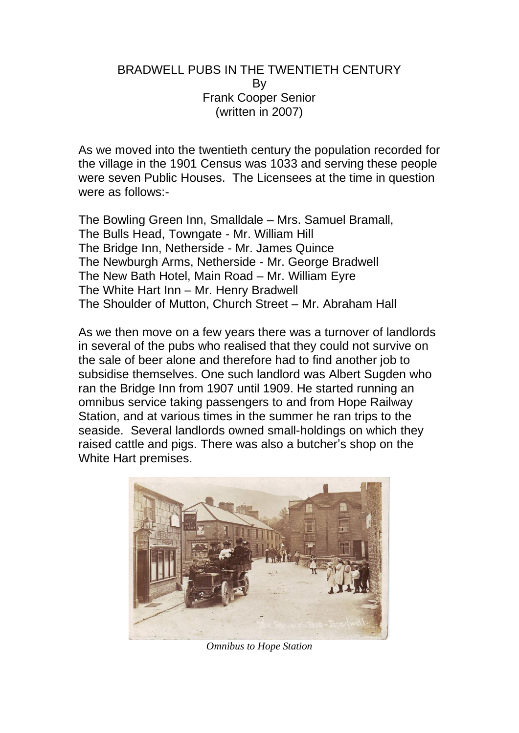### BRADWELL PUBS IN THE TWENTIETH CENTURY By Frank Cooper Senior (written in 2007)

As we moved into the twentieth century the population recorded for the village in the 1901 Census was 1033 and serving these people were seven Public Houses. The Licensees at the time in question were as follows:-

The Bowling Green Inn, Smalldale – Mrs. Samuel Bramall, The Bulls Head, Towngate - Mr. William Hill The Bridge Inn, Netherside - Mr. James Quince The Newburgh Arms, Netherside - Mr. George Bradwell The New Bath Hotel, Main Road – Mr. William Eyre The White Hart Inn – Mr. Henry Bradwell The Shoulder of Mutton, Church Street – Mr. Abraham Hall

As we then move on a few years there was a turnover of landlords in several of the pubs who realised that they could not survive on the sale of beer alone and therefore had to find another job to subsidise themselves. One such landlord was Albert Sugden who ran the Bridge Inn from 1907 until 1909. He started running an omnibus service taking passengers to and from Hope Railway Station, and at various times in the summer he ran trips to the seaside. Several landlords owned small-holdings on which they raised cattle and pigs. There was also a butcher's shop on the White Hart premises.



*Omnibus to Hope Station*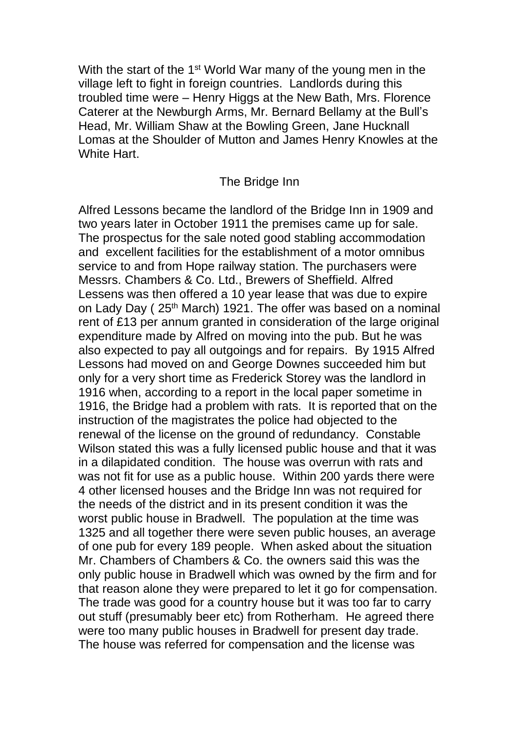With the start of the 1<sup>st</sup> World War many of the young men in the village left to fight in foreign countries. Landlords during this troubled time were – Henry Higgs at the New Bath, Mrs. Florence Caterer at the Newburgh Arms, Mr. Bernard Bellamy at the Bull's Head, Mr. William Shaw at the Bowling Green, Jane Hucknall Lomas at the Shoulder of Mutton and James Henry Knowles at the White Hart.

#### The Bridge Inn

Alfred Lessons became the landlord of the Bridge Inn in 1909 and two years later in October 1911 the premises came up for sale. The prospectus for the sale noted good stabling accommodation and excellent facilities for the establishment of a motor omnibus service to and from Hope railway station. The purchasers were Messrs. Chambers & Co. Ltd., Brewers of Sheffield. Alfred Lessens was then offered a 10 year lease that was due to expire on Lady Day (25<sup>th</sup> March) 1921. The offer was based on a nominal rent of £13 per annum granted in consideration of the large original expenditure made by Alfred on moving into the pub. But he was also expected to pay all outgoings and for repairs. By 1915 Alfred Lessons had moved on and George Downes succeeded him but only for a very short time as Frederick Storey was the landlord in 1916 when, according to a report in the local paper sometime in 1916, the Bridge had a problem with rats. It is reported that on the instruction of the magistrates the police had objected to the renewal of the license on the ground of redundancy. Constable Wilson stated this was a fully licensed public house and that it was in a dilapidated condition. The house was overrun with rats and was not fit for use as a public house. Within 200 yards there were 4 other licensed houses and the Bridge Inn was not required for the needs of the district and in its present condition it was the worst public house in Bradwell. The population at the time was 1325 and all together there were seven public houses, an average of one pub for every 189 people. When asked about the situation Mr. Chambers of Chambers & Co. the owners said this was the only public house in Bradwell which was owned by the firm and for that reason alone they were prepared to let it go for compensation. The trade was good for a country house but it was too far to carry out stuff (presumably beer etc) from Rotherham. He agreed there were too many public houses in Bradwell for present day trade. The house was referred for compensation and the license was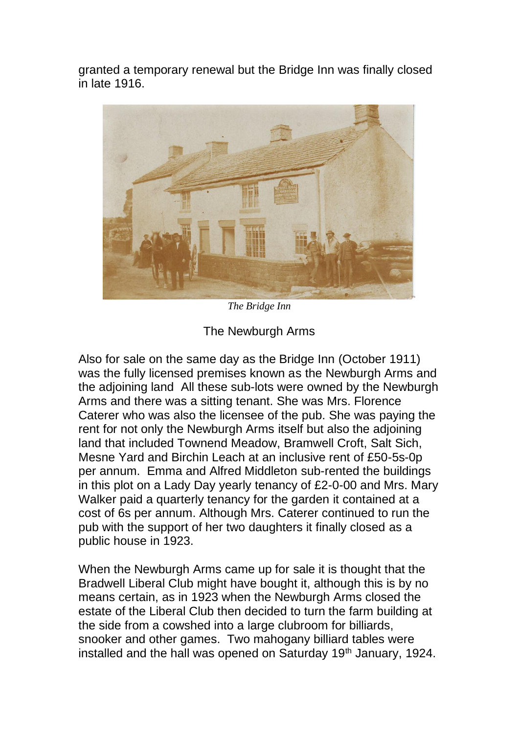granted a temporary renewal but the Bridge Inn was finally closed in late 1916.



*The Bridge Inn*

The Newburgh Arms

Also for sale on the same day as the Bridge Inn (October 1911) was the fully licensed premises known as the Newburgh Arms and the adjoining land All these sub-lots were owned by the Newburgh Arms and there was a sitting tenant. She was Mrs. Florence Caterer who was also the licensee of the pub. She was paying the rent for not only the Newburgh Arms itself but also the adjoining land that included Townend Meadow, Bramwell Croft, Salt Sich, Mesne Yard and Birchin Leach at an inclusive rent of £50-5s-0p per annum. Emma and Alfred Middleton sub-rented the buildings in this plot on a Lady Day yearly tenancy of £2-0-00 and Mrs. Mary Walker paid a quarterly tenancy for the garden it contained at a cost of 6s per annum. Although Mrs. Caterer continued to run the pub with the support of her two daughters it finally closed as a public house in 1923.

When the Newburgh Arms came up for sale it is thought that the Bradwell Liberal Club might have bought it, although this is by no means certain, as in 1923 when the Newburgh Arms closed the estate of the Liberal Club then decided to turn the farm building at the side from a cowshed into a large clubroom for billiards, snooker and other games. Two mahogany billiard tables were installed and the hall was opened on Saturday 19<sup>th</sup> January, 1924.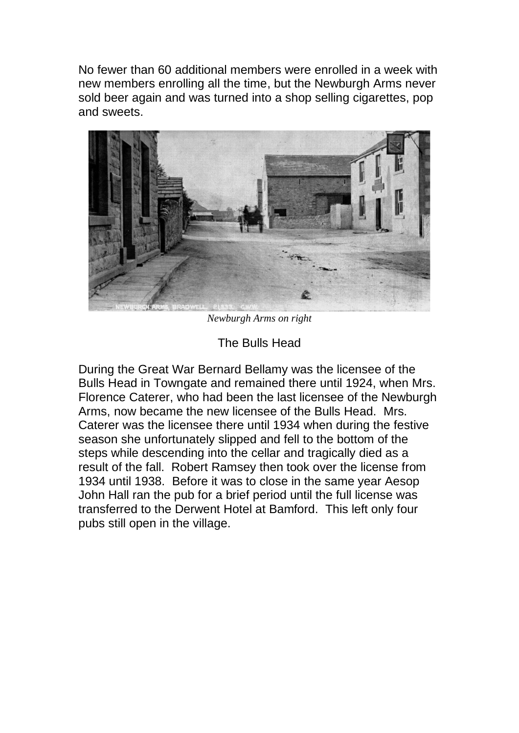No fewer than 60 additional members were enrolled in a week with new members enrolling all the time, but the Newburgh Arms never sold beer again and was turned into a shop selling cigarettes, pop and sweets.



*Newburgh Arms on right*

# The Bulls Head

During the Great War Bernard Bellamy was the licensee of the Bulls Head in Towngate and remained there until 1924, when Mrs. Florence Caterer, who had been the last licensee of the Newburgh Arms, now became the new licensee of the Bulls Head. Mrs. Caterer was the licensee there until 1934 when during the festive season she unfortunately slipped and fell to the bottom of the steps while descending into the cellar and tragically died as a result of the fall. Robert Ramsey then took over the license from 1934 until 1938. Before it was to close in the same year Aesop John Hall ran the pub for a brief period until the full license was transferred to the Derwent Hotel at Bamford. This left only four pubs still open in the village.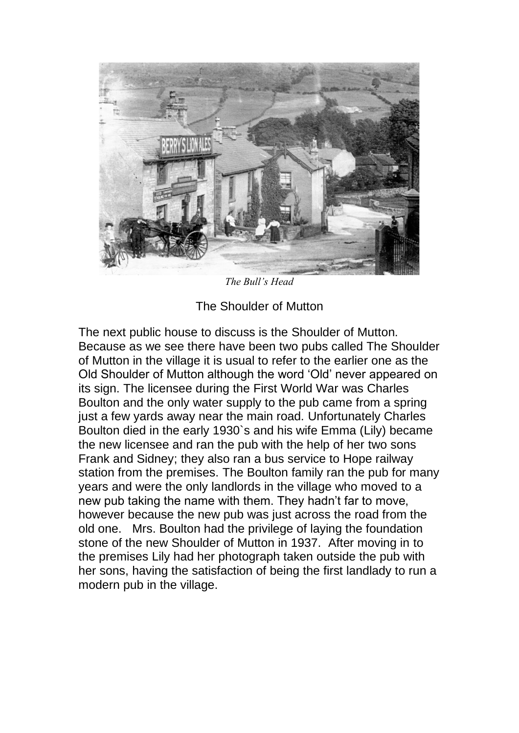

*The Bull's Head*

The Shoulder of Mutton

The next public house to discuss is the Shoulder of Mutton. Because as we see there have been two pubs called The Shoulder of Mutton in the village it is usual to refer to the earlier one as the Old Shoulder of Mutton although the word 'Old' never appeared on its sign. The licensee during the First World War was Charles Boulton and the only water supply to the pub came from a spring just a few yards away near the main road. Unfortunately Charles Boulton died in the early 1930`s and his wife Emma (Lily) became the new licensee and ran the pub with the help of her two sons Frank and Sidney; they also ran a bus service to Hope railway station from the premises. The Boulton family ran the pub for many years and were the only landlords in the village who moved to a new pub taking the name with them. They hadn't far to move, however because the new pub was just across the road from the old one. Mrs. Boulton had the privilege of laying the foundation stone of the new Shoulder of Mutton in 1937. After moving in to the premises Lily had her photograph taken outside the pub with her sons, having the satisfaction of being the first landlady to run a modern pub in the village.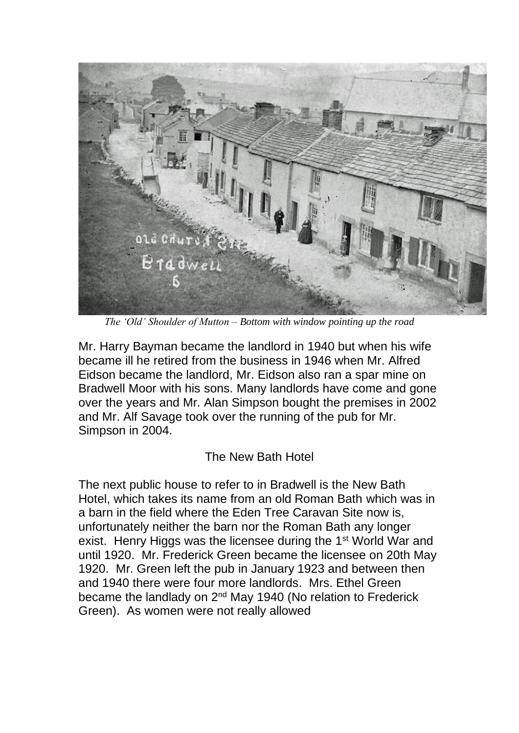

*The 'Old' Shoulder of Mutton – Bottom with window pointing up the road*

Mr. Harry Bayman became the landlord in 1940 but when his wife became ill he retired from the business in 1946 when Mr. Alfred Eidson became the landlord, Mr. Eidson also ran a spar mine on Bradwell Moor with his sons. Many landlords have come and gone over the years and Mr. Alan Simpson bought the premises in 2002 and Mr. Alf Savage took over the running of the pub for Mr. Simpson in 2004.

# The New Bath Hotel

The next public house to refer to in Bradwell is the New Bath Hotel, which takes its name from an old Roman Bath which was in a barn in the field where the Eden Tree Caravan Site now is, unfortunately neither the barn nor the Roman Bath any longer exist. Henry Higgs was the licensee during the 1<sup>st</sup> World War and until 1920. Mr. Frederick Green became the licensee on 20th May 1920. Mr. Green left the pub in January 1923 and between then and 1940 there were four more landlords. Mrs. Ethel Green became the landlady on 2<sup>nd</sup> May 1940 (No relation to Frederick Green). As women were not really allowed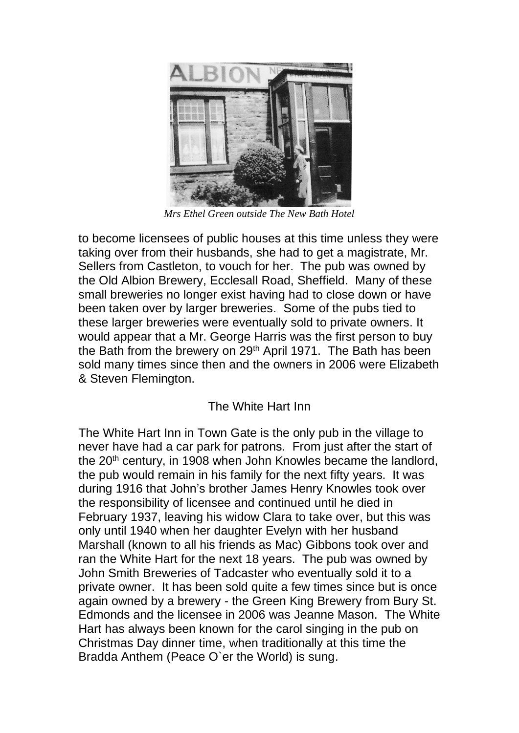

*Mrs Ethel Green outside The New Bath Hotel*

to become licensees of public houses at this time unless they were taking over from their husbands, she had to get a magistrate, Mr. Sellers from Castleton, to vouch for her. The pub was owned by the Old Albion Brewery, Ecclesall Road, Sheffield. Many of these small breweries no longer exist having had to close down or have been taken over by larger breweries. Some of the pubs tied to these larger breweries were eventually sold to private owners. It would appear that a Mr. George Harris was the first person to buy the Bath from the brewery on 29<sup>th</sup> April 1971. The Bath has been sold many times since then and the owners in 2006 were Elizabeth & Steven Flemington.

# The White Hart Inn

The White Hart Inn in Town Gate is the only pub in the village to never have had a car park for patrons. From just after the start of the 20<sup>th</sup> century, in 1908 when John Knowles became the landlord, the pub would remain in his family for the next fifty years. It was during 1916 that John's brother James Henry Knowles took over the responsibility of licensee and continued until he died in February 1937, leaving his widow Clara to take over, but this was only until 1940 when her daughter Evelyn with her husband Marshall (known to all his friends as Mac) Gibbons took over and ran the White Hart for the next 18 years. The pub was owned by John Smith Breweries of Tadcaster who eventually sold it to a private owner. It has been sold quite a few times since but is once again owned by a brewery - the Green King Brewery from Bury St. Edmonds and the licensee in 2006 was Jeanne Mason. The White Hart has always been known for the carol singing in the pub on Christmas Day dinner time, when traditionally at this time the Bradda Anthem (Peace O`er the World) is sung.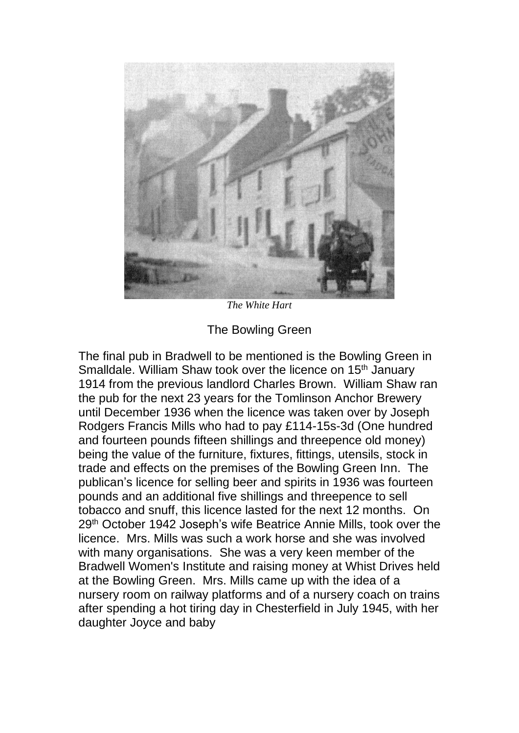

*The White Hart*

The Bowling Green

The final pub in Bradwell to be mentioned is the Bowling Green in Smalldale. William Shaw took over the licence on 15<sup>th</sup> January 1914 from the previous landlord Charles Brown. William Shaw ran the pub for the next 23 years for the Tomlinson Anchor Brewery until December 1936 when the licence was taken over by Joseph Rodgers Francis Mills who had to pay £114-15s-3d (One hundred and fourteen pounds fifteen shillings and threepence old money) being the value of the furniture, fixtures, fittings, utensils, stock in trade and effects on the premises of the Bowling Green Inn. The publican's licence for selling beer and spirits in 1936 was fourteen pounds and an additional five shillings and threepence to sell tobacco and snuff, this licence lasted for the next 12 months. On 29th October 1942 Joseph's wife Beatrice Annie Mills, took over the licence. Mrs. Mills was such a work horse and she was involved with many organisations. She was a very keen member of the Bradwell Women's Institute and raising money at Whist Drives held at the Bowling Green. Mrs. Mills came up with the idea of a nursery room on railway platforms and of a nursery coach on trains after spending a hot tiring day in Chesterfield in July 1945, with her daughter Joyce and baby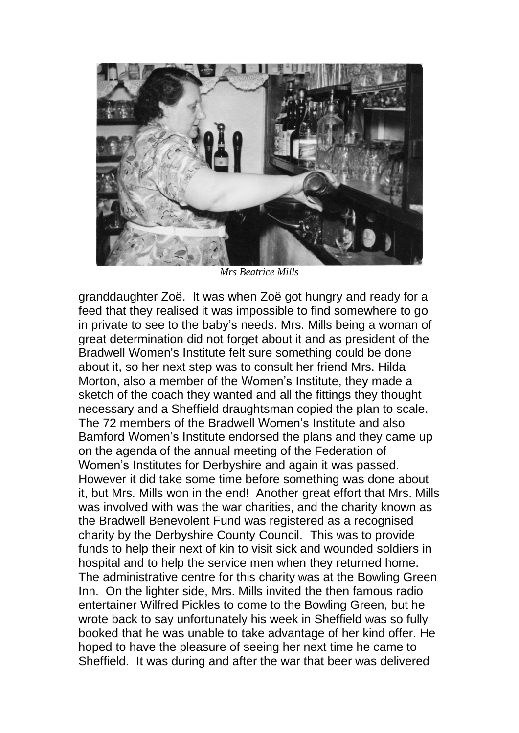

*Mrs Beatrice Mills*

granddaughter Zoë. It was when Zoë got hungry and ready for a feed that they realised it was impossible to find somewhere to go in private to see to the baby's needs. Mrs. Mills being a woman of great determination did not forget about it and as president of the Bradwell Women's Institute felt sure something could be done about it, so her next step was to consult her friend Mrs. Hilda Morton, also a member of the Women's Institute, they made a sketch of the coach they wanted and all the fittings they thought necessary and a Sheffield draughtsman copied the plan to scale. The 72 members of the Bradwell Women's Institute and also Bamford Women's Institute endorsed the plans and they came up on the agenda of the annual meeting of the Federation of Women's Institutes for Derbyshire and again it was passed. However it did take some time before something was done about it, but Mrs. Mills won in the end! Another great effort that Mrs. Mills was involved with was the war charities, and the charity known as the Bradwell Benevolent Fund was registered as a recognised charity by the Derbyshire County Council. This was to provide funds to help their next of kin to visit sick and wounded soldiers in hospital and to help the service men when they returned home. The administrative centre for this charity was at the Bowling Green Inn. On the lighter side, Mrs. Mills invited the then famous radio entertainer Wilfred Pickles to come to the Bowling Green, but he wrote back to say unfortunately his week in Sheffield was so fully booked that he was unable to take advantage of her kind offer. He hoped to have the pleasure of seeing her next time he came to Sheffield. It was during and after the war that beer was delivered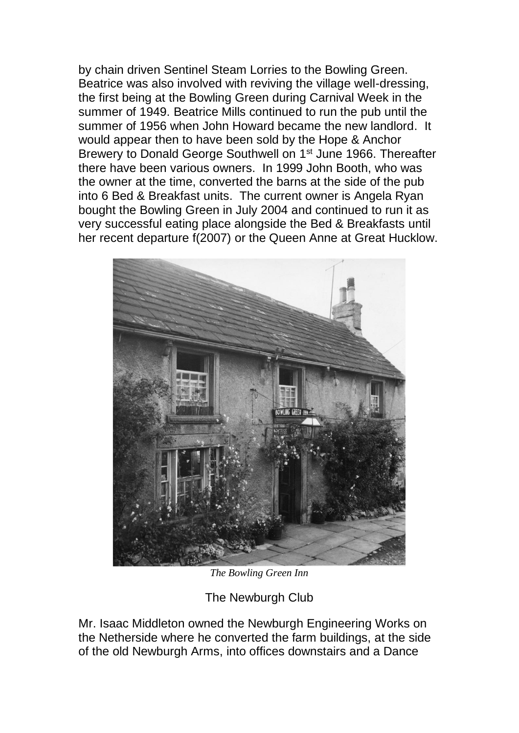by chain driven Sentinel Steam Lorries to the Bowling Green. Beatrice was also involved with reviving the village well-dressing, the first being at the Bowling Green during Carnival Week in the summer of 1949. Beatrice Mills continued to run the pub until the summer of 1956 when John Howard became the new landlord. It would appear then to have been sold by the Hope & Anchor Brewery to Donald George Southwell on 1st June 1966. Thereafter there have been various owners. In 1999 John Booth, who was the owner at the time, converted the barns at the side of the pub into 6 Bed & Breakfast units. The current owner is Angela Ryan bought the Bowling Green in July 2004 and continued to run it as very successful eating place alongside the Bed & Breakfasts until her recent departure f(2007) or the Queen Anne at Great Hucklow.



*The Bowling Green Inn*

The Newburgh Club

Mr. Isaac Middleton owned the Newburgh Engineering Works on the Netherside where he converted the farm buildings, at the side of the old Newburgh Arms, into offices downstairs and a Dance